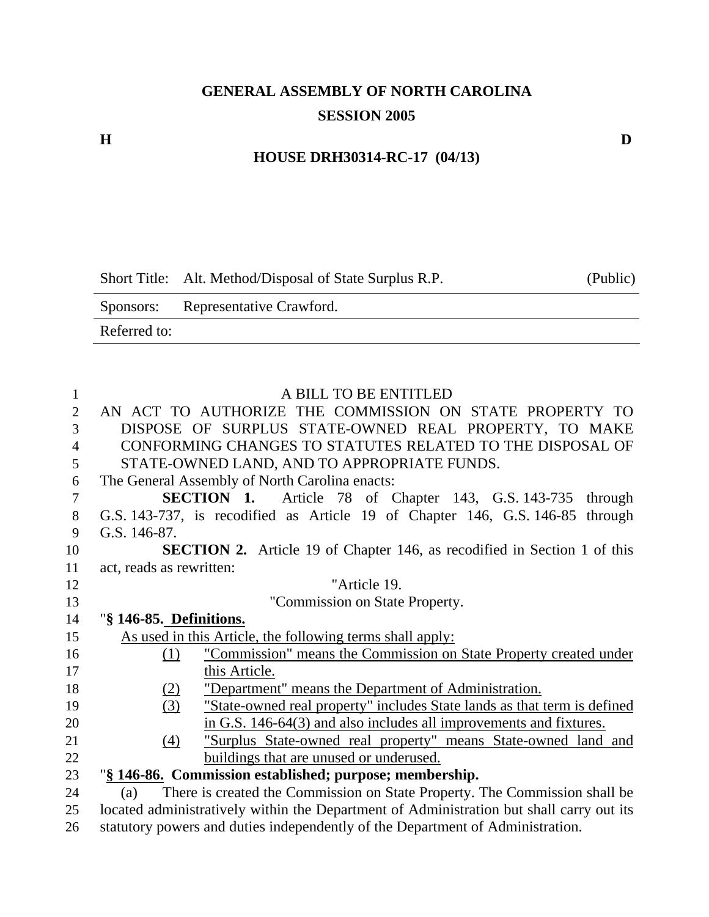# **GENERAL ASSEMBLY OF NORTH CAROLINA SESSION 2005**

#### **HOUSE DRH30314-RC-17 (04/13)**

Short Title: Alt. Method/Disposal of State Surplus R.P. (Public)

Sponsors: Representative Crawford. Referred to:

| $\mathbf{1}$   | A BILL TO BE ENTITLED                                                                    |
|----------------|------------------------------------------------------------------------------------------|
| $\overline{2}$ | AN ACT TO AUTHORIZE THE COMMISSION ON STATE PROPERTY TO                                  |
| 3              | DISPOSE OF SURPLUS STATE-OWNED REAL PROPERTY, TO MAKE                                    |
| $\overline{4}$ | CONFORMING CHANGES TO STATUTES RELATED TO THE DISPOSAL OF                                |
| 5              | STATE-OWNED LAND, AND TO APPROPRIATE FUNDS.                                              |
| 6              | The General Assembly of North Carolina enacts:                                           |
| $\tau$         | <b>SECTION 1.</b> Article 78 of Chapter 143, G.S. 143-735<br>through                     |
| $\,8\,$        | G.S. 143-737, is recodified as Article 19 of Chapter 146, G.S. 146-85 through            |
| 9              | G.S. 146-87.                                                                             |
| 10             | <b>SECTION 2.</b> Article 19 of Chapter 146, as recodified in Section 1 of this          |
| 11             | act, reads as rewritten:                                                                 |
| 12             | "Article 19.                                                                             |
| 13             | "Commission on State Property.                                                           |
| 14             | "§ 146-85. Definitions.                                                                  |
| 15             | As used in this Article, the following terms shall apply:                                |
| 16             | "Commission" means the Commission on State Property created under<br>(1)                 |
| 17             | this Article.                                                                            |
| 18             | "Department" means the Department of Administration.<br>(2)                              |
| 19             | (3)<br>"State-owned real property" includes State lands as that term is defined          |
| 20             | in G.S. 146-64(3) and also includes all improvements and fixtures.                       |
| 21             | "Surplus State-owned real property" means State-owned land and<br>(4)                    |
| 22             | buildings that are unused or underused.                                                  |
| 23             | "§ 146-86. Commission established; purpose; membership.                                  |
| 24             | There is created the Commission on State Property. The Commission shall be<br>(a)        |
| 25             | located administratively within the Department of Administration but shall carry out its |
| 26             | statutory powers and duties independently of the Department of Administration.           |

**H D**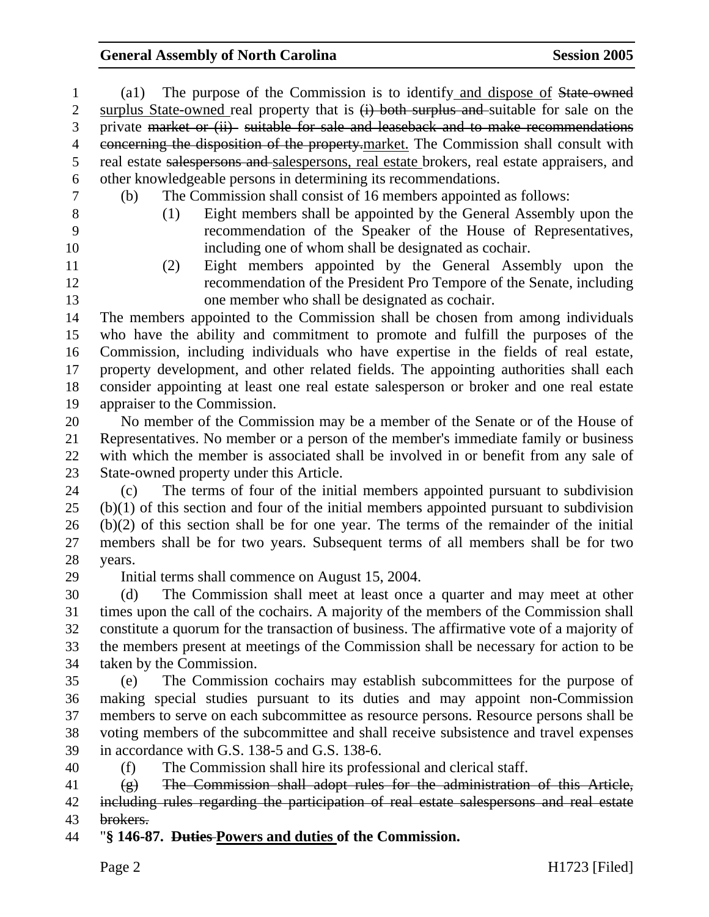| 1              | The purpose of the Commission is to identify and dispose of State owned<br>$\left( \text{a1}\right)$              |  |  |
|----------------|-------------------------------------------------------------------------------------------------------------------|--|--|
| $\overline{2}$ | surplus State-owned real property that is $(i)$ both surplus and suitable for sale on the                         |  |  |
| 3              | private market or (ii) suitable for sale and leaseback and to make recommendations                                |  |  |
| 4              | concerning the disposition of the property-market. The Commission shall consult with                              |  |  |
| 5              | real estate salespersons and salespersons, real estate brokers, real estate appraisers, and                       |  |  |
| 6              | other knowledgeable persons in determining its recommendations.                                                   |  |  |
| $\tau$         | The Commission shall consist of 16 members appointed as follows:<br>(b)                                           |  |  |
| 8              | Eight members shall be appointed by the General Assembly upon the<br>(1)                                          |  |  |
| 9              | recommendation of the Speaker of the House of Representatives,                                                    |  |  |
| 10             | including one of whom shall be designated as cochair.                                                             |  |  |
| 11             | Eight members appointed by the General Assembly upon the<br>(2)                                                   |  |  |
| 12             | recommendation of the President Pro Tempore of the Senate, including                                              |  |  |
| 13             | one member who shall be designated as cochair.                                                                    |  |  |
| 14             | The members appointed to the Commission shall be chosen from among individuals                                    |  |  |
| 15             | who have the ability and commitment to promote and fulfill the purposes of the                                    |  |  |
| 16             | Commission, including individuals who have expertise in the fields of real estate,                                |  |  |
| 17             | property development, and other related fields. The appointing authorities shall each                             |  |  |
| 18             | consider appointing at least one real estate salesperson or broker and one real estate                            |  |  |
| 19             | appraiser to the Commission.                                                                                      |  |  |
| 20             | No member of the Commission may be a member of the Senate or of the House of                                      |  |  |
| 21             | Representatives. No member or a person of the member's immediate family or business                               |  |  |
| 22             | with which the member is associated shall be involved in or benefit from any sale of                              |  |  |
| 23             | State-owned property under this Article.                                                                          |  |  |
| 24             | The terms of four of the initial members appointed pursuant to subdivision<br>(c)                                 |  |  |
| 25             | $(b)(1)$ of this section and four of the initial members appointed pursuant to subdivision                        |  |  |
| 26             | $(b)(2)$ of this section shall be for one year. The terms of the remainder of the initial                         |  |  |
| 27             | members shall be for two years. Subsequent terms of all members shall be for two                                  |  |  |
| 28             | years.                                                                                                            |  |  |
| 29             | Initial terms shall commence on August 15, 2004.                                                                  |  |  |
| 30             | The Commission shall meet at least once a quarter and may meet at other<br>(d)                                    |  |  |
| 31             | times upon the call of the cochairs. A majority of the members of the Commission shall                            |  |  |
| 32             | constitute a quorum for the transaction of business. The affirmative vote of a majority of                        |  |  |
| 33             | the members present at meetings of the Commission shall be necessary for action to be                             |  |  |
| 34             | taken by the Commission.                                                                                          |  |  |
| 35             | The Commission cochairs may establish subcommittees for the purpose of<br>(e)                                     |  |  |
| 36             | making special studies pursuant to its duties and may appoint non-Commission                                      |  |  |
| 37             | members to serve on each subcommittee as resource persons. Resource persons shall be                              |  |  |
| 38             | voting members of the subcommittee and shall receive subsistence and travel expenses                              |  |  |
| 39             | in accordance with G.S. 138-5 and G.S. 138-6.                                                                     |  |  |
| 40             | The Commission shall hire its professional and clerical staff.<br>(f)                                             |  |  |
| 41             | The Commission shall adopt rules for the administration of this Article,<br>$\left( \frac{\mathbf{p}}{2} \right)$ |  |  |
| 42             | including rules regarding the participation of real estate salespersons and real estate                           |  |  |
| 43             | brokers.                                                                                                          |  |  |
| 44             | "§ 146-87. Duties-Powers and duties of the Commission.                                                            |  |  |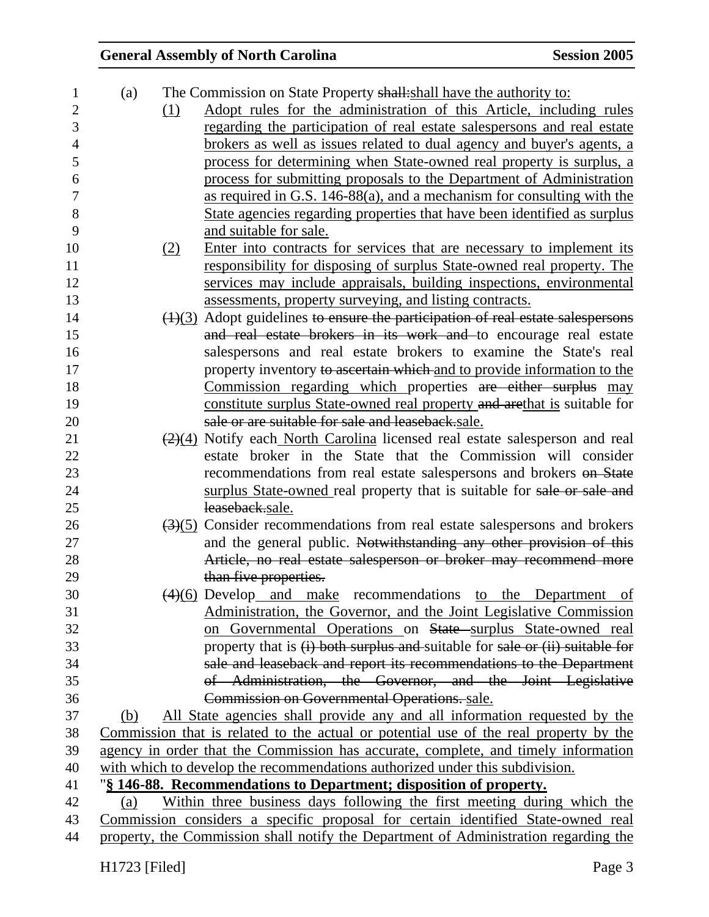| 1              | (a) | The Commission on State Property shall: shall have the authority to:                                |    |
|----------------|-----|-----------------------------------------------------------------------------------------------------|----|
| $\overline{2}$ |     | Adopt rules for the administration of this Article, including rules<br>(1)                          |    |
| 3              |     | regarding the participation of real estate salespersons and real estate                             |    |
| $\overline{4}$ |     | brokers as well as issues related to dual agency and buyer's agents, a                              |    |
| 5              |     | process for determining when State-owned real property is surplus, a                                |    |
| 6              |     | process for submitting proposals to the Department of Administration                                |    |
| $\tau$         |     | as required in G.S. 146-88(a), and a mechanism for consulting with the                              |    |
| 8              |     | State agencies regarding properties that have been identified as surplus                            |    |
| 9              |     | and suitable for sale.                                                                              |    |
| 10             |     | Enter into contracts for services that are necessary to implement its<br>(2)                        |    |
| 11             |     | responsibility for disposing of surplus State-owned real property. The                              |    |
| 12             |     | services may include appraisals, building inspections, environmental                                |    |
| 13             |     | assessments, property surveying, and listing contracts.                                             |    |
| 14             |     | $\left(\frac{1}{3}\right)$ Adopt guidelines to ensure the participation of real estate salespersons |    |
| 15             |     | and real estate brokers in its work and to encourage real estate                                    |    |
| 16             |     | salespersons and real estate brokers to examine the State's real                                    |    |
| 17             |     | property inventory to ascertain which and to provide information to the                             |    |
| 18             |     | Commission regarding which properties are either surplus may                                        |    |
| 19             |     | constitute surplus State-owned real property and arethat is suitable for                            |    |
| 20             |     | sale or are suitable for sale and leaseback.sale.                                                   |    |
| 21             |     | $\frac{2}{(2)(4)}$ Notify each North Carolina licensed real estate salesperson and real             |    |
| 22             |     | estate broker in the State that the Commission will consider                                        |    |
| 23             |     | recommendations from real estate salespersons and brokers on State                                  |    |
| 24             |     | surplus State-owned real property that is suitable for sale or sale and                             |    |
| 25             |     | leaseback.sale.                                                                                     |    |
| 26             |     | $\left(\frac{3}{5}\right)$ Consider recommendations from real estate salespersons and brokers       |    |
| 27             |     | and the general public. Notwithstanding any other provision of this                                 |    |
| 28             |     | Article, no real estate salesperson or broker may recommend more                                    |    |
| 29             |     | than five properties.                                                                               |    |
| 30             |     | $\left(\frac{4}{6}\right)$ Develop and make recommendations to the Department                       | of |
| 31             |     | Administration, the Governor, and the Joint Legislative Commission                                  |    |
| 32             |     | on Governmental Operations on State surplus State-owned real                                        |    |
| 33             |     | property that is (i) both surplus and suitable for sale or (ii) suitable for                        |    |
| 34             |     | sale and leaseback and report its recommendations to the Department                                 |    |
| 35             |     | of Administration, the Governor, and the Joint Legislative                                          |    |
| 36             |     | Commission on Governmental Operations. sale.                                                        |    |
| 37             | (b) | All State agencies shall provide any and all information requested by the                           |    |
| 38             |     | Commission that is related to the actual or potential use of the real property by the               |    |
| 39             |     | agency in order that the Commission has accurate, complete, and timely information                  |    |
| 40             |     | with which to develop the recommendations authorized under this subdivision.                        |    |
| 41             |     | "§ 146-88. Recommendations to Department; disposition of property.                                  |    |
| 42             | (a) | Within three business days following the first meeting during which the                             |    |
| 43             |     | Commission considers a specific proposal for certain identified State-owned real                    |    |
| 44             |     | property, the Commission shall notify the Department of Administration regarding the                |    |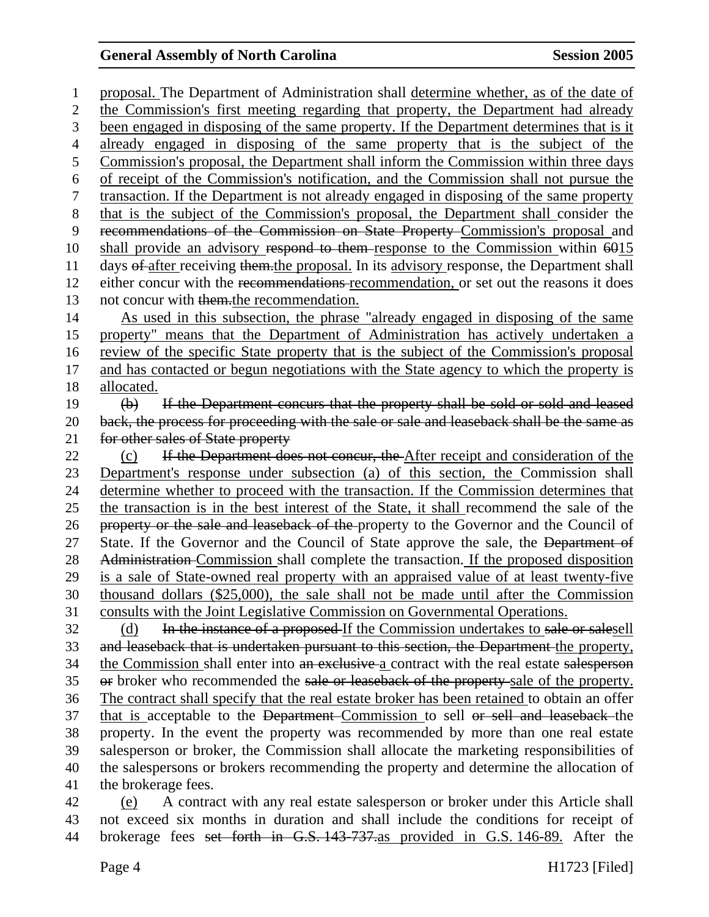1 proposal. The Department of Administration shall determine whether, as of the date of 2 the Commission's first meeting regarding that property, the Department had already 3 been engaged in disposing of the same property. If the Department determines that is it 4 already engaged in disposing of the same property that is the subject of the 5 Commission's proposal, the Department shall inform the Commission within three days 6 of receipt of the Commission's notification, and the Commission shall not pursue the 7 transaction. If the Department is not already engaged in disposing of the same property 8 that is the subject of the Commission's proposal, the Department shall consider the 9 recommendations of the Commission on State Property Commission's proposal and 10 shall provide an advisory respond to them response to the Commission within 6015 11 days of after receiving them.the proposal. In its advisory response, the Department shall 12 either concur with the recommendations recommendation, or set out the reasons it does 13 not concur with them.the recommendation. 14 As used in this subsection, the phrase "already engaged in disposing of the same 15 property" means that the Department of Administration has actively undertaken a 16 review of the specific State property that is the subject of the Commission's proposal 17 and has contacted or begun negotiations with the State agency to which the property is 18 allocated. 19 (b) If the Department concurs that the property shall be sold or sold and leased 20 back, the process for proceeding with the sale or sale and leaseback shall be the same as 21 for other sales of State property 22 (c) If the Department does not concur, the After receipt and consideration of the 23 Department's response under subsection (a) of this section, the Commission shall 24 determine whether to proceed with the transaction. If the Commission determines that 25 the transaction is in the best interest of the State, it shall recommend the sale of the 26 property or the sale and leaseback of the property to the Governor and the Council of 27 State. If the Governor and the Council of State approve the sale, the Department of 28 Administration Commission shall complete the transaction. If the proposed disposition 29 is a sale of State-owned real property with an appraised value of at least twenty-five 30 thousand dollars (\$25,000), the sale shall not be made until after the Commission 31 consults with the Joint Legislative Commission on Governmental Operations. 32 (d) In the instance of a proposed If the Commission undertakes to sale or salesell 33 and leaseback that is undertaken pursuant to this section, the Department the property, 34 the Commission shall enter into an exclusive a contract with the real estate salesperson 35 or broker who recommended the sale or leaseback of the property sale of the property. 36 The contract shall specify that the real estate broker has been retained to obtain an offer 37 that is acceptable to the Department Commission to sell or sell and leaseback the 38 property. In the event the property was recommended by more than one real estate 39 salesperson or broker, the Commission shall allocate the marketing responsibilities of 40 the salespersons or brokers recommending the property and determine the allocation of 41 the brokerage fees. 42 (e) A contract with any real estate salesperson or broker under this Article shall

43 not exceed six months in duration and shall include the conditions for receipt of 44 brokerage fees set forth in G.S. 143-737.as provided in G.S. 146-89. After the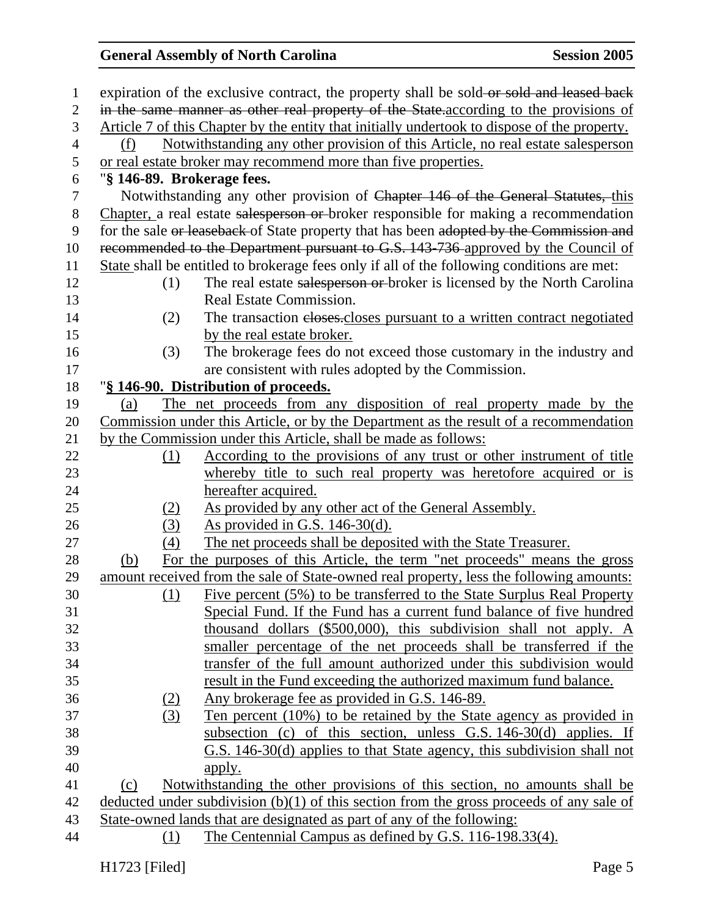| $\mathbf{1}$     |                            | expiration of the exclusive contract, the property shall be sold-or sold and leased back     |
|------------------|----------------------------|----------------------------------------------------------------------------------------------|
| $\overline{2}$   |                            | in the same manner as other real property of the State.according to the provisions of        |
| 3                |                            | Article 7 of this Chapter by the entity that initially undertook to dispose of the property. |
| $\overline{4}$   | (f)                        | Notwithstanding any other provision of this Article, no real estate salesperson              |
| 5                |                            | or real estate broker may recommend more than five properties.                               |
| 6                | "§ 146-89. Brokerage fees. |                                                                                              |
| $\tau$           |                            | Notwithstanding any other provision of Chapter 146 of the General Statutes, this             |
| 8                |                            | Chapter, a real estate salesperson or broker responsible for making a recommendation         |
| $\boldsymbol{9}$ |                            | for the sale or leaseback of State property that has been adopted by the Commission and      |
| 10               |                            | recommended to the Department pursuant to G.S. 143-736 approved by the Council of            |
| 11               |                            | State shall be entitled to brokerage fees only if all of the following conditions are met:   |
| 12               | (1)                        | The real estate salesperson or broker is licensed by the North Carolina                      |
| 13               |                            | Real Estate Commission.                                                                      |
| 14               | (2)                        | The transaction eloses.closes pursuant to a written contract negotiated                      |
| 15               |                            | by the real estate broker.                                                                   |
| 16               | (3)                        | The brokerage fees do not exceed those customary in the industry and                         |
| 17               |                            | are consistent with rules adopted by the Commission.                                         |
| 18               |                            | "§ 146-90. Distribution of proceeds.                                                         |
| 19               | (a)                        | The net proceeds from any disposition of real property made by the                           |
| 20               |                            | Commission under this Article, or by the Department as the result of a recommendation        |
| 21               |                            | by the Commission under this Article, shall be made as follows:                              |
| 22               | (1)                        | According to the provisions of any trust or other instrument of title                        |
| 23               |                            | whereby title to such real property was heretofore acquired or is                            |
| 24               |                            | hereafter acquired.                                                                          |
| 25               | (2)                        | As provided by any other act of the General Assembly.                                        |
| 26               | (3)                        | <u>As provided in G.S. 146-30(d).</u>                                                        |
| 27               | (4)                        | The net proceeds shall be deposited with the State Treasurer.                                |
| 28               | (b)                        | For the purposes of this Article, the term "net proceeds" means the gross                    |
| 29               |                            | amount received from the sale of State-owned real property, less the following amounts:      |
| 30               | (1)                        | Five percent (5%) to be transferred to the State Surplus Real Property                       |
| 31               |                            | Special Fund. If the Fund has a current fund balance of five hundred                         |
| 32               |                            | thousand dollars (\$500,000), this subdivision shall not apply. A                            |
| 33               |                            | smaller percentage of the net proceeds shall be transferred if the                           |
| 34               |                            | transfer of the full amount authorized under this subdivision would                          |
| 35               |                            | result in the Fund exceeding the authorized maximum fund balance.                            |
| 36               | <u>(2)</u>                 | Any brokerage fee as provided in G.S. 146-89.                                                |
| 37               | (3)                        | Ten percent (10%) to be retained by the State agency as provided in                          |
| 38               |                            | subsection (c) of this section, unless G.S. 146-30(d) applies. If                            |
| 39               |                            | G.S. 146-30(d) applies to that State agency, this subdivision shall not                      |
| 40               |                            | apply.                                                                                       |
| 41               | (c)                        | Notwithstanding the other provisions of this section, no amounts shall be                    |
| 42               |                            | deducted under subdivision $(b)(1)$ of this section from the gross proceeds of any sale of   |
| 43               |                            | State-owned lands that are designated as part of any of the following:                       |
| 44               | (1)                        | The Centennial Campus as defined by G.S. 116-198.33(4).                                      |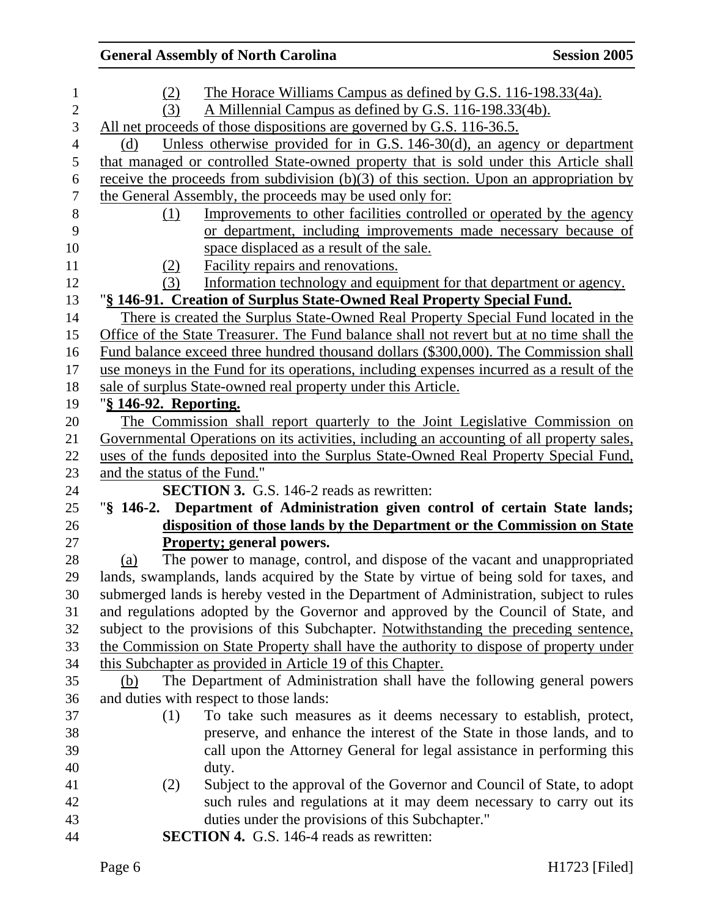|                               | <b>General Assembly of North Carolina</b>                                                 | <b>Session 2005</b> |
|-------------------------------|-------------------------------------------------------------------------------------------|---------------------|
| (2)                           | The Horace Williams Campus as defined by G.S. 116-198.33(4a).                             |                     |
| (3)                           | A Millennial Campus as defined by G.S. 116-198.33(4b).                                    |                     |
|                               | All net proceeds of those dispositions are governed by G.S. 116-36.5.                     |                     |
| (d)                           | Unless otherwise provided for in G.S. 146-30(d), an agency or department                  |                     |
|                               | that managed or controlled State-owned property that is sold under this Article shall     |                     |
|                               | receive the proceeds from subdivision (b)(3) of this section. Upon an appropriation by    |                     |
|                               | the General Assembly, the proceeds may be used only for:                                  |                     |
| (1)                           | Improvements to other facilities controlled or operated by the agency                     |                     |
|                               | or department, including improvements made necessary because of                           |                     |
|                               | space displaced as a result of the sale.                                                  |                     |
| <u>(2)</u>                    | Facility repairs and renovations.                                                         |                     |
| (3)                           | Information technology and equipment for that department or agency.                       |                     |
|                               | "§ 146-91. Creation of Surplus State-Owned Real Property Special Fund.                    |                     |
|                               | There is created the Surplus State-Owned Real Property Special Fund located in the        |                     |
|                               | Office of the State Treasurer. The Fund balance shall not revert but at no time shall the |                     |
|                               | Fund balance exceed three hundred thousand dollars (\$300,000). The Commission shall      |                     |
|                               | use moneys in the Fund for its operations, including expenses incurred as a result of the |                     |
|                               | sale of surplus State-owned real property under this Article.                             |                     |
| " <u>§ 146-92. Reporting.</u> |                                                                                           |                     |
|                               | The Commission shall report quarterly to the Joint Legislative Commission on              |                     |
|                               | Governmental Operations on its activities, including an accounting of all property sales, |                     |
|                               | uses of the funds deposited into the Surplus State-Owned Real Property Special Fund,      |                     |
| and the status of the Fund."  |                                                                                           |                     |
|                               | <b>SECTION 3.</b> G.S. 146-2 reads as rewritten:                                          |                     |
|                               | "§ 146-2. Department of Administration given control of certain State lands;              |                     |
|                               | disposition of those lands by the Department or the Commission on State                   |                     |
|                               | <b>Property; general powers.</b>                                                          |                     |
| (a)                           | The power to manage, control, and dispose of the vacant and unappropriated                |                     |
|                               | lands, swamplands, lands acquired by the State by virtue of being sold for taxes, and     |                     |
|                               | submerged lands is hereby vested in the Department of Administration, subject to rules    |                     |
|                               | and regulations adopted by the Governor and approved by the Council of State, and         |                     |
|                               | subject to the provisions of this Subchapter. Notwithstanding the preceding sentence,     |                     |
|                               | the Commission on State Property shall have the authority to dispose of property under    |                     |
|                               | this Subchapter as provided in Article 19 of this Chapter.                                |                     |
| (b)                           | The Department of Administration shall have the following general powers                  |                     |
|                               | and duties with respect to those lands:                                                   |                     |
| (1)                           | To take such measures as it deems necessary to establish, protect,                        |                     |
|                               | preserve, and enhance the interest of the State in those lands, and to                    |                     |
|                               | call upon the Attorney General for legal assistance in performing this                    |                     |
|                               | duty.                                                                                     |                     |
| (2)                           | Subject to the approval of the Governor and Council of State, to adopt                    |                     |
|                               | such rules and regulations at it may deem necessary to carry out its                      |                     |
|                               | duties under the provisions of this Subchapter."                                          |                     |
|                               | <b>SECTION 4.</b> G.S. 146-4 reads as rewritten:                                          |                     |
|                               |                                                                                           |                     |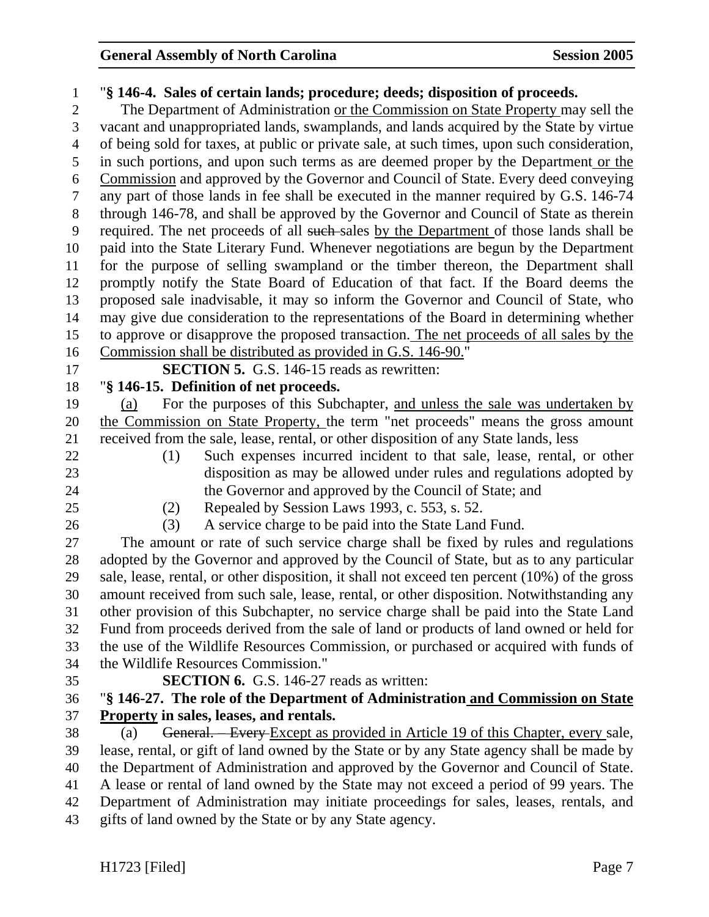#### 1 "**§ 146-4. Sales of certain lands; procedure; deeds; disposition of proceeds.**

2 The Department of Administration or the Commission on State Property may sell the 3 vacant and unappropriated lands, swamplands, and lands acquired by the State by virtue 4 of being sold for taxes, at public or private sale, at such times, upon such consideration, 5 in such portions, and upon such terms as are deemed proper by the Department or the 6 Commission and approved by the Governor and Council of State. Every deed conveying 7 any part of those lands in fee shall be executed in the manner required by G.S. 146-74 8 through 146-78, and shall be approved by the Governor and Council of State as therein 9 required. The net proceeds of all such sales by the Department of those lands shall be 10 paid into the State Literary Fund. Whenever negotiations are begun by the Department 11 for the purpose of selling swampland or the timber thereon, the Department shall 12 promptly notify the State Board of Education of that fact. If the Board deems the 13 proposed sale inadvisable, it may so inform the Governor and Council of State, who 14 may give due consideration to the representations of the Board in determining whether 15 to approve or disapprove the proposed transaction. The net proceeds of all sales by the 16 Commission shall be distributed as provided in G.S. 146-90."

17 **SECTION 5.** G.S. 146-15 reads as rewritten:

### 18 "**§ 146-15. Definition of net proceeds.**

19 (a) For the purposes of this Subchapter, and unless the sale was undertaken by 20 the Commission on State Property, the term "net proceeds" means the gross amount 21 received from the sale, lease, rental, or other disposition of any State lands, less

- 
- 
- 22 (1) Such expenses incurred incident to that sale, lease, rental, or other 23 disposition as may be allowed under rules and regulations adopted by 24 the Governor and approved by the Council of State; and

25 (2) Repealed by Session Laws 1993, c. 553, s. 52.

26 (3) A service charge to be paid into the State Land Fund.

27 The amount or rate of such service charge shall be fixed by rules and regulations 28 adopted by the Governor and approved by the Council of State, but as to any particular 29 sale, lease, rental, or other disposition, it shall not exceed ten percent (10%) of the gross 30 amount received from such sale, lease, rental, or other disposition. Notwithstanding any 31 other provision of this Subchapter, no service charge shall be paid into the State Land 32 Fund from proceeds derived from the sale of land or products of land owned or held for 33 the use of the Wildlife Resources Commission, or purchased or acquired with funds of 34 the Wildlife Resources Commission."

#### 35 **SECTION 6.** G.S. 146-27 reads as written:

### 36 "**§ 146-27. The role of the Department of Administration and Commission on State** 37 **Property in sales, leases, and rentals.**

38 (a) General. – Every Except as provided in Article 19 of this Chapter, every sale, 39 lease, rental, or gift of land owned by the State or by any State agency shall be made by 40 the Department of Administration and approved by the Governor and Council of State. 41 A lease or rental of land owned by the State may not exceed a period of 99 years. The 42 Department of Administration may initiate proceedings for sales, leases, rentals, and 43 gifts of land owned by the State or by any State agency.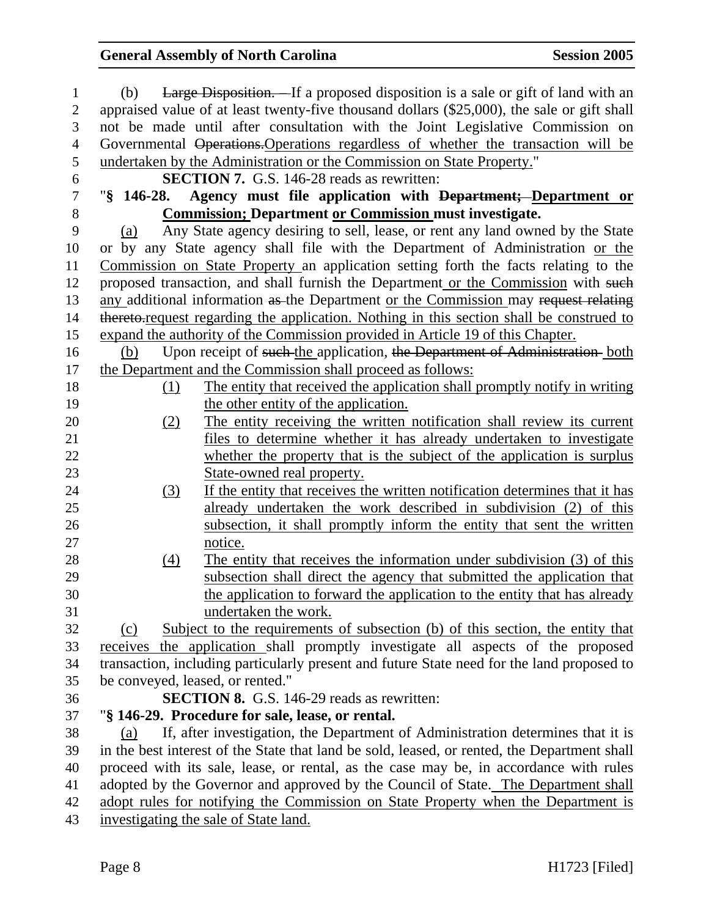| 1                | <b>Large Disposition.</b> If a proposed disposition is a sale or gift of land with an<br>(b) |
|------------------|----------------------------------------------------------------------------------------------|
| $\overline{c}$   | appraised value of at least twenty-five thousand dollars (\$25,000), the sale or gift shall  |
| 3                | not be made until after consultation with the Joint Legislative Commission on                |
| $\overline{4}$   | Governmental Operations. Operations regardless of whether the transaction will be            |
| 5                | undertaken by the Administration or the Commission on State Property."                       |
| 6                | <b>SECTION 7.</b> G.S. 146-28 reads as rewritten:                                            |
| $\boldsymbol{7}$ | $\frac{1}{2}$ 146-28.<br>Agency must file application with Department; Department or         |
| 8                | <b>Commission: Department or Commission must investigate.</b>                                |
| 9                | Any State agency desiring to sell, lease, or rent any land owned by the State<br>(a)         |
| 10               | or by any State agency shall file with the Department of Administration or the               |
| 11               | Commission on State Property an application setting forth the facts relating to the          |
| 12               | proposed transaction, and shall furnish the Department or the Commission with such           |
| 13               | any additional information as the Department or the Commission may request relating          |
| 14               | thereto-request regarding the application. Nothing in this section shall be construed to     |
| 15               | expand the authority of the Commission provided in Article 19 of this Chapter.               |
| 16               | Upon receipt of such the application, the Department of Administration both<br>(b)           |
| 17               | the Department and the Commission shall proceed as follows:                                  |
| 18               | The entity that received the application shall promptly notify in writing<br>(1)             |
| 19               | the other entity of the application.                                                         |
| 20               | The entity receiving the written notification shall review its current<br>(2)                |
| 21               | files to determine whether it has already undertaken to investigate                          |
| 22               | whether the property that is the subject of the application is surplus                       |
| 23               | State-owned real property.                                                                   |
| 24               | If the entity that receives the written notification determines that it has<br>(3)           |
| 25               | already undertaken the work described in subdivision (2) of this                             |
| 26               | subsection, it shall promptly inform the entity that sent the written                        |
| 27               | notice.                                                                                      |
| 28               | The entity that receives the information under subdivision (3) of this<br>(4)                |
| 29               | subsection shall direct the agency that submitted the application that                       |
| 30               | the application to forward the application to the entity that has already                    |
| 31               | undertaken the work.                                                                         |
| 32               | Subject to the requirements of subsection (b) of this section, the entity that<br>(c)        |
| 33               | receives the application shall promptly investigate all aspects of the proposed              |
| 34               | transaction, including particularly present and future State need for the land proposed to   |
| 35               | be conveyed, leased, or rented."                                                             |
| 36               | <b>SECTION 8.</b> G.S. 146-29 reads as rewritten:                                            |
| 37               | "§ 146-29. Procedure for sale, lease, or rental.                                             |
| 38               | If, after investigation, the Department of Administration determines that it is<br>(a)       |
| 39               | in the best interest of the State that land be sold, leased, or rented, the Department shall |
| 40               | proceed with its sale, lease, or rental, as the case may be, in accordance with rules        |
| 41               | adopted by the Governor and approved by the Council of State. The Department shall           |
| 42               | adopt rules for notifying the Commission on State Property when the Department is            |
| 43               | investigating the sale of State land.                                                        |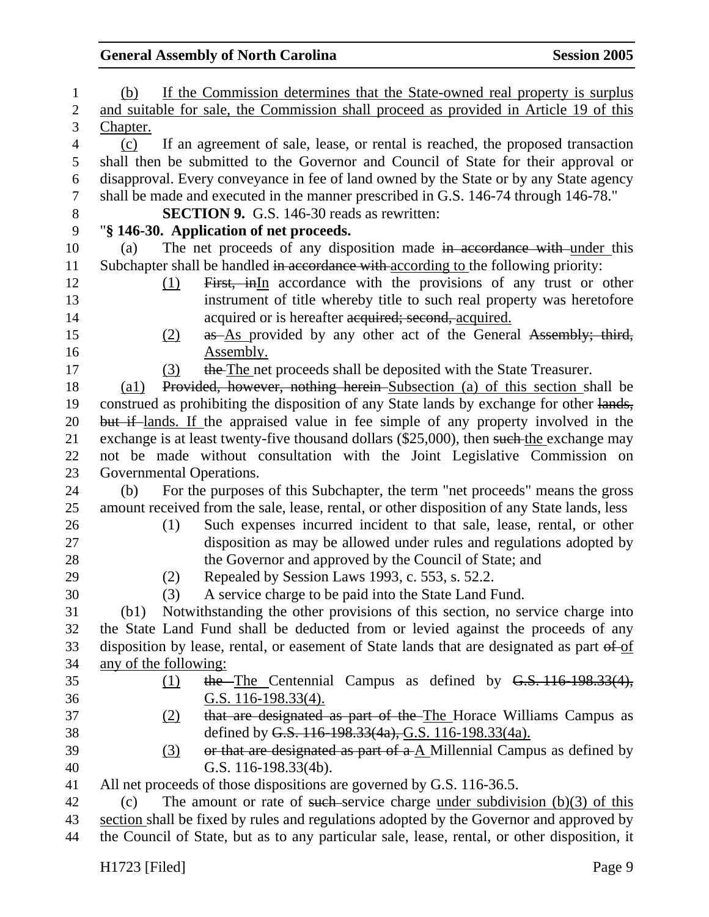| $\mathbf{1}$   | If the Commission determines that the State-owned real property is surplus<br>(b)               |
|----------------|-------------------------------------------------------------------------------------------------|
| $\mathbf{2}$   | and suitable for sale, the Commission shall proceed as provided in Article 19 of this           |
| 3              | <u>Chapter.</u>                                                                                 |
| $\overline{4}$ | If an agreement of sale, lease, or rental is reached, the proposed transaction<br>(c)           |
| 5              | shall then be submitted to the Governor and Council of State for their approval or              |
| 6              | disapproval. Every conveyance in fee of land owned by the State or by any State agency          |
| 7              | shall be made and executed in the manner prescribed in G.S. 146-74 through 146-78."             |
| $8\,$          | <b>SECTION 9.</b> G.S. 146-30 reads as rewritten:                                               |
| 9              | "§ 146-30. Application of net proceeds.                                                         |
| 10             | The net proceeds of any disposition made in accordance with under this<br>(a)                   |
| 11             | Subchapter shall be handled in accordance with according to the following priority:             |
| 12             | First, inIn accordance with the provisions of any trust or other<br>(1)                         |
| 13             | instrument of title whereby title to such real property was heretofore                          |
| 14             | acquired or is hereafter acquired; second, acquired.                                            |
| 15             | as As provided by any other act of the General Assembly; third,<br>(2)                          |
| 16             | Assembly.                                                                                       |
| 17             | the The net proceeds shall be deposited with the State Treasurer.<br>(3)                        |
| 18             | Provided, however, nothing herein Subsection (a) of this section shall be<br>$\left( a1\right)$ |
| 19             | construed as prohibiting the disposition of any State lands by exchange for other lands,        |
| 20             | but if lands. If the appraised value in fee simple of any property involved in the              |
| 21             | exchange is at least twenty-five thousand dollars (\$25,000), then such the exchange may        |
| 22             | not be made without consultation with the Joint Legislative Commission on                       |
| 23             | Governmental Operations.                                                                        |
| 24             | For the purposes of this Subchapter, the term "net proceeds" means the gross<br>(b)             |
| 25             | amount received from the sale, lease, rental, or other disposition of any State lands, less     |
| 26             | Such expenses incurred incident to that sale, lease, rental, or other<br>(1)                    |
| 27             | disposition as may be allowed under rules and regulations adopted by                            |
| 28             | the Governor and approved by the Council of State; and                                          |
| 29             | Repealed by Session Laws 1993, c. 553, s. 52.2.<br>(2)                                          |
| 30             | A service charge to be paid into the State Land Fund.<br>(3)                                    |
| 31             | (b1) Notwithstanding the other provisions of this section, no service charge into               |
| 32             | the State Land Fund shall be deducted from or levied against the proceeds of any                |
| 33             | disposition by lease, rental, or easement of State lands that are designated as part of of      |
| 34             | any of the following:                                                                           |
| 35             | $the$ -The Centennial Campus as defined by G.S. 116-198.33(4),<br>(1)                           |
| 36             | G.S. $116-198.33(4)$ .                                                                          |
| 37             | that are designated as part of the The Horace Williams Campus as<br>(2)                         |
| 38             | defined by G.S. 116-198.33(4a), G.S. 116-198.33(4a).                                            |
| 39             | or that are designated as part of $a \Delta$ Millennial Campus as defined by<br>(3)             |
| 40             | G.S. 116-198.33(4b).                                                                            |
| 41             | All net proceeds of those dispositions are governed by G.S. 116-36.5.                           |
| 42             | The amount or rate of such service charge under subdivision $(b)(3)$ of this<br>(c)             |
| 43             | section shall be fixed by rules and regulations adopted by the Governor and approved by         |
| 44             | the Council of State, but as to any particular sale, lease, rental, or other disposition, it    |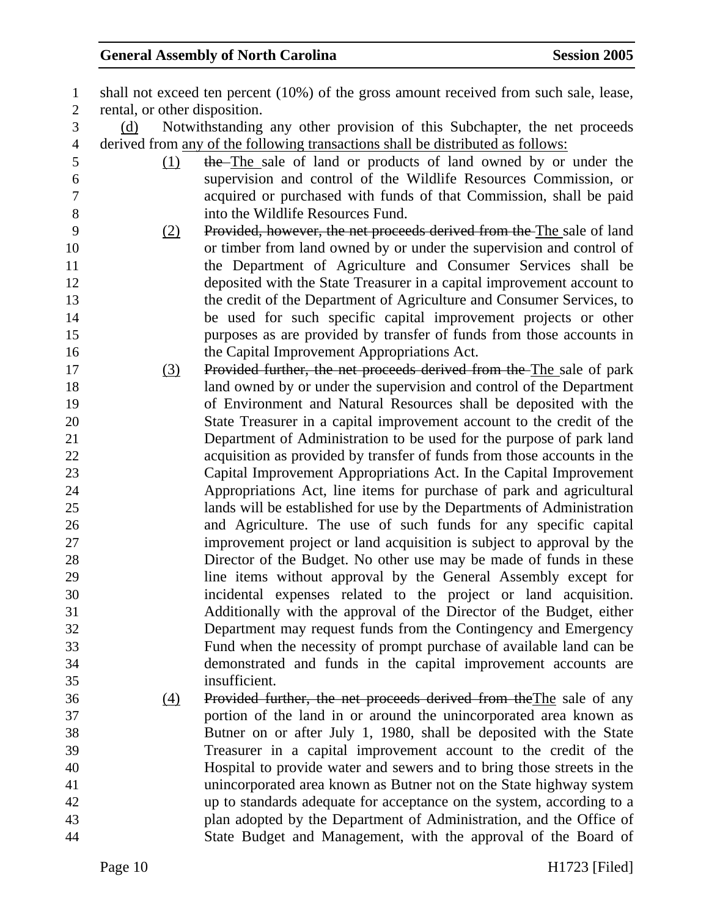| $\mathbf{1}$     |                               | shall not exceed ten percent (10%) of the gross amount received from such sale, lease, |
|------------------|-------------------------------|----------------------------------------------------------------------------------------|
| $\overline{2}$   | rental, or other disposition. |                                                                                        |
| 3                | (d)                           | Notwithstanding any other provision of this Subchapter, the net proceeds               |
| $\overline{4}$   |                               | derived from any of the following transactions shall be distributed as follows:        |
| 5                | (1)                           | the The sale of land or products of land owned by or under the                         |
| 6                |                               | supervision and control of the Wildlife Resources Commission, or                       |
| $\boldsymbol{7}$ |                               | acquired or purchased with funds of that Commission, shall be paid                     |
| $8\,$            |                               | into the Wildlife Resources Fund.                                                      |
| 9                | (2)                           | Provided, however, the net proceeds derived from the The sale of land                  |
| 10               |                               | or timber from land owned by or under the supervision and control of                   |
| 11               |                               | the Department of Agriculture and Consumer Services shall be                           |
| 12               |                               | deposited with the State Treasurer in a capital improvement account to                 |
| 13               |                               | the credit of the Department of Agriculture and Consumer Services, to                  |
| 14               |                               | be used for such specific capital improvement projects or other                        |
| 15               |                               | purposes as are provided by transfer of funds from those accounts in                   |
| 16               |                               | the Capital Improvement Appropriations Act.                                            |
| 17               | (3)                           | Provided further, the net proceeds derived from the The sale of park                   |
| 18               |                               | land owned by or under the supervision and control of the Department                   |
| 19               |                               | of Environment and Natural Resources shall be deposited with the                       |
| 20               |                               | State Treasurer in a capital improvement account to the credit of the                  |
| 21               |                               | Department of Administration to be used for the purpose of park land                   |
| 22               |                               | acquisition as provided by transfer of funds from those accounts in the                |
| 23               |                               | Capital Improvement Appropriations Act. In the Capital Improvement                     |
| 24               |                               | Appropriations Act, line items for purchase of park and agricultural                   |
| 25               |                               | lands will be established for use by the Departments of Administration                 |
| 26               |                               | and Agriculture. The use of such funds for any specific capital                        |
| 27               |                               | improvement project or land acquisition is subject to approval by the                  |
| 28               |                               | Director of the Budget. No other use may be made of funds in these                     |
| 29               |                               | line items without approval by the General Assembly except for                         |
| 30               |                               | incidental expenses related to the project or land acquisition.                        |
| 31               |                               | Additionally with the approval of the Director of the Budget, either                   |
| 32               |                               | Department may request funds from the Contingency and Emergency                        |
| 33               |                               | Fund when the necessity of prompt purchase of available land can be                    |
| 34               |                               | demonstrated and funds in the capital improvement accounts are                         |
| 35               |                               | insufficient.                                                                          |
| 36               | (4)                           | Provided further, the net proceeds derived from the The sale of any                    |
| 37               |                               | portion of the land in or around the unincorporated area known as                      |
| 38               |                               | Butner on or after July 1, 1980, shall be deposited with the State                     |
| 39               |                               | Treasurer in a capital improvement account to the credit of the                        |
| 40               |                               | Hospital to provide water and sewers and to bring those streets in the                 |
| 41               |                               | unincorporated area known as Butner not on the State highway system                    |
| 42<br>43         |                               | up to standards adequate for acceptance on the system, according to a                  |
| 44               |                               | plan adopted by the Department of Administration, and the Office of                    |
|                  |                               | State Budget and Management, with the approval of the Board of                         |